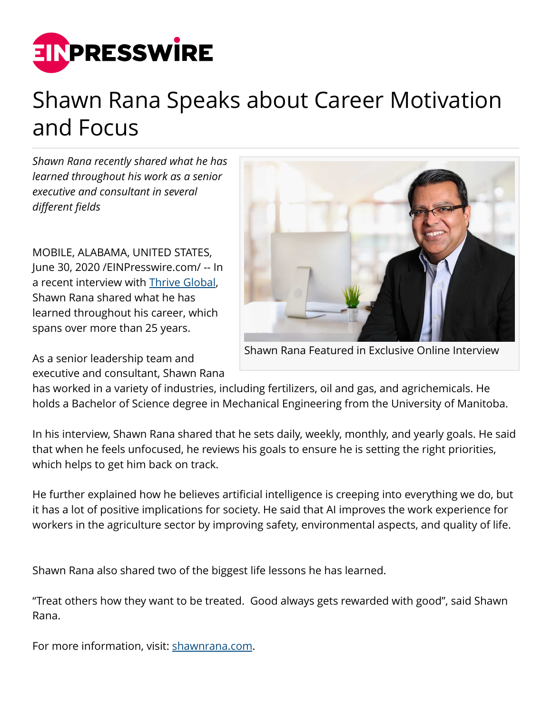

## Shawn Rana Speaks about Career Motivation and Focus

*Shawn Rana recently shared what he has learned throughout his work as a senior executive and consultant in several different fields* 

MOBILE, ALABAMA, UNITED STATES, June 30, 2020 [/EINPresswire.com/](http://www.einpresswire.com) -- In a recent interview with [Thrive Global](https://thriveglobal.com/stories/a-conversation-with-shawn-rana-about-career-motivation-and-focus/), Shawn Rana shared what he has learned throughout his career, which spans over more than 25 years.

As a senior leadership team and executive and consultant, Shawn Rana



Shawn Rana Featured in Exclusive Online Interview

has worked in a variety of industries, including fertilizers, oil and gas, and agrichemicals. He holds a Bachelor of Science degree in Mechanical Engineering from the University of Manitoba.

In his interview, Shawn Rana shared that he sets daily, weekly, monthly, and yearly goals. He said that when he feels unfocused, he reviews his goals to ensure he is setting the right priorities, which helps to get him back on track.

He further explained how he believes artificial intelligence is creeping into everything we do, but it has a lot of positive implications for society. He said that AI improves the work experience for workers in the agriculture sector by improving safety, environmental aspects, and quality of life.

Shawn Rana also shared two of the biggest life lessons he has learned.

"Treat others how they want to be treated. Good always gets rewarded with good", said Shawn Rana.

For more information, visit: [shawnrana.com](https://shawnrana.com/).